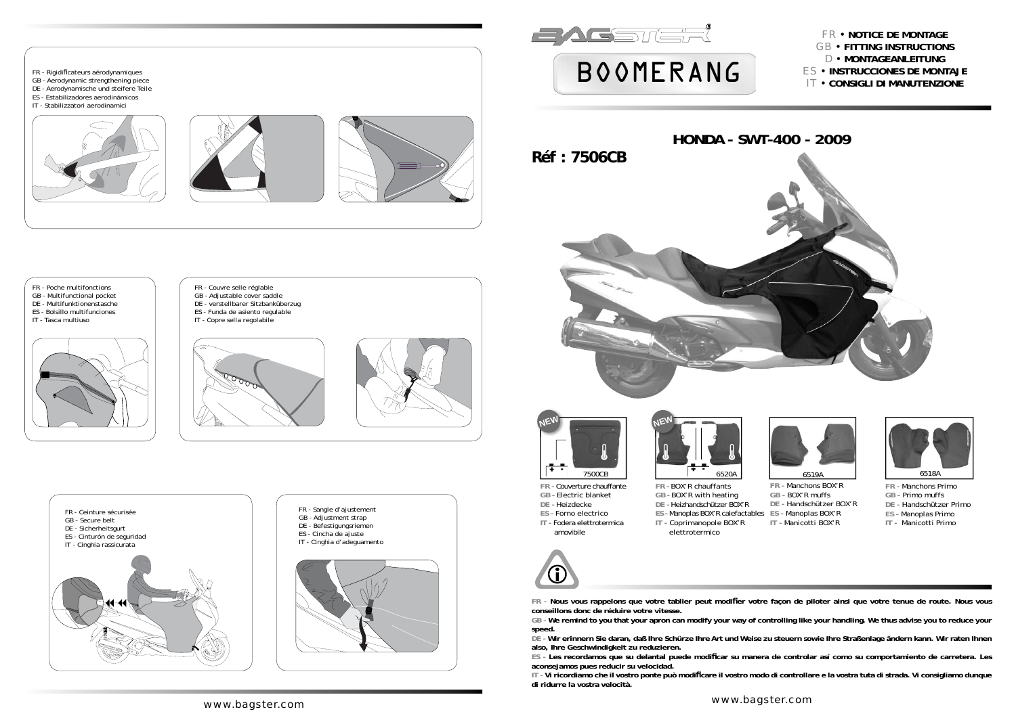



**conseillons donc de réduire votre vitesse.**

FR - Nous vous rappelons que votre tablier peut modifier votre façon de piloter ainsi que votre tenue de route. Nous vous **GB - We remind to you that your apron can modify your way of controlling like your handling. We thus advise you to reduce your speed. DE - Wir erinnern Sie daran, daß Ihre Schürze Ihre Art und Weise zu steuern sowie Ihre Straßenlage ändern kann. Wir raten Ihnen also, Ihre Geschwindigkeit zu reduzieren. ES - Les recordamos que su delantal puede modifi car su manera de controlar así como su comportamiento de carretera. Les aconsejamos pues reducir su velocidad. IT - Vi ricordiamo che il vostro ponte può modifi care il vostro modo di controllare e la vostra tuta di strada. Vi consigliamo dunque** 

**di ridurre la vostra velocità.**





- **FR -** BOX'R chauffants **GB -** BOX'R with heating
- **DE -** Heizhandschützer BOX'R
- **ES -** Manoplas BOX'R calefactables
- **IT** Coprimanopole BOX'R elettrotermico
- O
- 



# FR y **NOTICE DE MONTAGE** GB y **FITTING INSTRUCTIONS**  D y **MONTAGEANLEITUNG ES • INSTRUCCIONES DE MONTAJE IT • CONSIGLI DI MANUTENZIONE**

FR - Poche multifonctions GB - Multifunctional pocket DE - Multifunktionenstasche ES - Bolsillo multifunciones IT - Tasca multiuso



- FR Couvre selle réglable
- GB Adjustable cover saddle DE - verstellbarer Sitzbanküberzug
- ES Funda de asiento regulable
- IT Copre sella regolabile





- FR Sangle d'ajustement GB - Adjustment strap
- DE Befestigungsriemen
- ES Cincha de ajuste
- IT Cinghia d'adeguamento





- **FR -** Manchons Primo
- **GB -** Primo muffs
- **DE -** Handschützer Primo
- **ES -** Manoplas Primo
- **IT** Manicotti Primo

**NEW** E. 7500CB





**FR -** Couverture chauffante **GB -** Electric blanket **DE -** Heizdecke**ES -** Forno electrico **IT -** Fodera elettrotermica amovibile